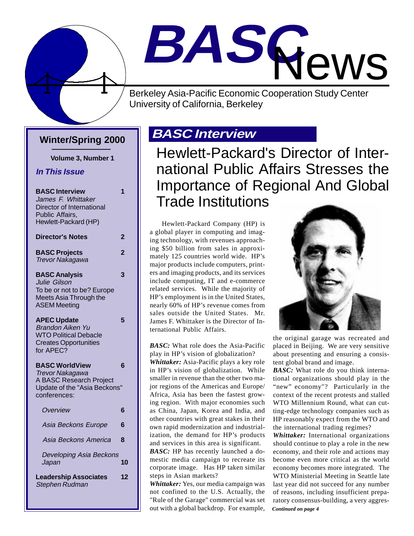

# **BASC** News

Berkeley Asia-Pacific Economic Cooperation Study Center University of California, Berkeley

### **Winter/Spring 2000**

**Volume 3, Number 1**

#### **In This Issue**

| <b>BASC Interview</b><br>James F. Whittaker<br>Director of International<br>Public Affairs,<br>Hewlett-Packard (HP)               | 1              |
|-----------------------------------------------------------------------------------------------------------------------------------|----------------|
| <b>Director's Notes</b>                                                                                                           | 2              |
| <b>BASC Projects</b><br><b>Trevor Nakagawa</b>                                                                                    | $\overline{2}$ |
| <b>BASC Analysis</b><br>Julie Gilson<br>To be or not to be? Europe<br>Meets Asia Through the<br><b>ASEM Meeting</b>               | 3              |
| <b>APEC Update</b><br><b>Brandon Aiken Yu</b><br><b>WTO Political Debacle</b><br><b>Creates Opportunities</b><br>for APEC?        | 5              |
| <b>BASC WorldView</b><br><b>Trevor Nakagawa</b><br><b>A BASC Research Project</b><br>Update of the "Asia Beckons"<br>conferences: | 6              |
| Overview                                                                                                                          | 6              |
| Asia Beckons Europe                                                                                                               | 6              |
| Asia Beckons America                                                                                                              | 8              |
| Developing Asia Beckons<br>Japan                                                                                                  | 10             |
| <b>Leadership Associates</b><br><b>Stephen Rudman</b>                                                                             | 12             |

### **BASC Interview**

Hewlett-Packard's Director of International Public Affairs Stresses the Importance of Regional And Global Trade Institutions

Hewlett-Packard Company (HP) is a global player in computing and imaging technology, with revenues approaching \$50 billion from sales in approximately 125 countries world wide. HP's major products include computers, printers and imaging products, and its services include computing, IT and e-commerce related services. While the majority of HP's employment is in the United States, nearly 60% of HP's revenue comes from sales outside the United States. Mr. James F. Whittaker is the Director of International Public Affairs.

*BASC:* What role does the Asia-Pacific play in HP's vision of globalization? *Whittaker:* Asia-Pacific plays a key role in HP's vision of globalization. While smaller in revenue than the other two major regions of the Americas and Europe/ Africa, Asia has been the fastest growing region. With major economies such as China, Japan, Korea and India, and other countries with great stakes in their own rapid modernization and industrialization, the demand for HP's products and services in this area is significant.

*BASC:* HP has recently launched a domestic media campaign to recreate its corporate image. Has HP taken similar steps in Asian markets?

*Whittaker:* Yes, our media campaign was not confined to the U.S. Actually, the "Rule of the Garage" commercial was set out with a global backdrop. For example,



the original garage was recreated and placed in Beijing. We are very sensitive about presenting and ensuring a consistent global brand and image.

*BASC:* What role do you think international organizations should play in the "new" economy"? Particularly in the context of the recent protests and stalled WTO Millennium Round, what can cutting-edge technology companies such as HP reasonably expect from the WTO and the international trading regimes?

*Continued on page 4 Whittaker:* International organizations should continue to play a role in the new economy, and their role and actions may become even more critical as the world economy becomes more integrated. The WTO Ministerial Meeting in Seattle late last year did not succeed for any number of reasons, including insufficient preparatory consensus-building, a very aggres-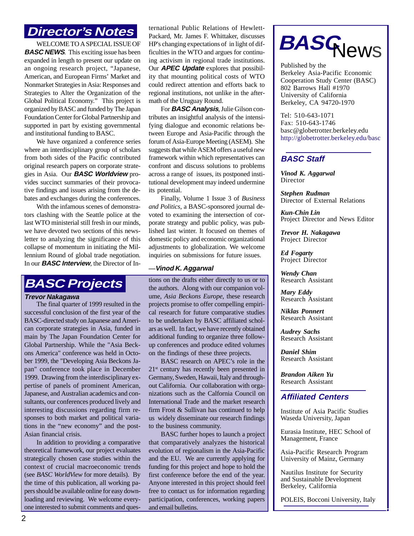### **Director's Notes**

WELCOME TO A SPECIAL ISSUE OF **BASC NEWS**. This exciting issue has been expanded in length to present our update on an ongoing research project, "Japanese, American, and European Firms' Market and Nonmarket Strategies in Asia: Responses and Strategies to Alter the Organization of the Global Political Economy." This project is organized by BASC and funded by The Japan Foundation Center for Global Partnership and supported in part by existing governmental and institutional funding to BASC.

We have organized a conference series where an interdisciplinary group of scholars from both sides of the Pacific contributed original research papers on corporate strategies in Asia. Our **BASC Worldview** provides succinct summaries of their provocative findings and issues arising from the debates and exchanges during the conferences.

With the infamous scenes of demonstrators clashing with the Seattle police at the last WTO ministerial still fresh in our minds, we have devoted two sections of this newsletter to analyzing the significance of this collapse of momentum in initiating the Millennium Round of global trade negotiation. In our **BASC Interview**, the Director of In-

### **BASC Projects**

#### **Trevor Nakagawa**

The final quarter of 1999 resulted in the successful conclusion of the first year of the BASC-directed study on Japanese and American corporate strategies in Asia, funded in main by The Japan Foundation Center for Global Partnership. While the "Asia Beckons America" conference was held in October 1999, the "Developing Asia Beckons Japan" conference took place in December 1999. Drawing from the interdisciplinary expertise of panels of prominent American, Japanese, and Australian academics and consultants, our conferences produced lively and interesting discussions regarding firm responses to both market and political variations in the "new economy" and the post-Asian financial crisis.

In addition to providing a comparative theoretical framework, our project evaluates strategically chosen case studies within the context of crucial macroeconomic trends (see *BASC WorldView* for more details). By the time of this publication, all working papers should be available online for easy downloading and reviewing. We welcome everyone interested to submit comments and questernational Public Relations of Hewlett-Packard, Mr. James F. Whittaker, discusses HP's changing expectations of in light of difficulties in the WTO and argues for continuing activism in regional trade institutions. Our **APEC Update** explores that possibility that mounting political costs of WTO could redirect attention and efforts back to regional institutions, not unlike in the aftermath of the Uruguay Round.

For **BASC Analysis**, Julie Gilson contributes an insightful analysis of the intensifying dialogue and economic relations between Europe and Asia-Pacific through the forum of Asia-Europe Meeting (ASEM). She suggests that while ASEM offers a useful new framework within which representatives can confront and discuss solutions to problems across a range of issues, its postponed institutional development may indeed undermine its potential.

Finally, Volume 1 Issue 3 of *Business and Politics*, a BASC-sponsored journal devoted to examining the intersection of corporate strategy and public policy, was published last winter. It focused on themes of domestic policy and economic organizational adjustments to globalization. We welcome inquiries on submissions for future issues.

#### **—Vinod K. Aggarwal**

tions on the drafts either directly to us or to the authors. Along with our companion volume, *Asia Beckons Europe*, these research projects promise to offer compelling empirical research for future comparative studies to be undertaken by BASC affiliated scholars as well. In fact, we have recently obtained additional funding to organize three followup conferences and produce edited volumes on the findings of these three projects.

BASC research on APEC's role in the 21<sup>st</sup> century has recently been presented in Germany, Sweden, Hawaii, Italy and throughout California. Our collaboration with organizations such as the Calfornia Council on International Trade and the market research firm Frost & Sullivan has continued to help us widely disseminate our research findings to the business community.

BASC further hopes to launch a project that comparatively analyzes the historical evolution of regionalism in the Asia-Pacific and the EU. We are currently applying for funding for this project and hope to hold the first conference before the end of the year. Anyone interested in this project should feel free to contact us for information regarding participation, conferences, working papers and email bulletins.



Published by the Berkeley Asia-Pacific Economic Cooperation Study Center (BASC) 802 Barrows Hall #1970 University of California Berkeley, CA 94720-1970

Tel: 510-643-1071 Fax: 510-643-1746 basc@globetrotter.berkeley.edu http://globetrotter.berkeley.edu/basc

#### **BASC Staff**

*Vinod K. Aggarwal* Director

*Stephen Rudman* Director of External Relations

*Kun-Chin Lin* Project Director and News Editor

*Trevor H. Nakagawa* Project Director

*Ed Fogarty* Project Director

*Wendy Chan* Research Assistant

*Mary Eddy* Research Assistant

*Niklas Ponnert* Research Assistant

*Audrey Sachs* Research Assistant

*Daniel Shim* Research Assistant

*Brandon Aiken Yu* Research Assistant

#### **Affiliated Centers**

Institute of Asia Pacific Studies Waseda University, Japan

Eurasia Institute, HEC School of Management, France

Asia-Pacific Research Program University of Mainz, Germany

Nautilus Institute for Security and Sustainable Development Berkeley, California

POLEIS, Bocconi University, Italy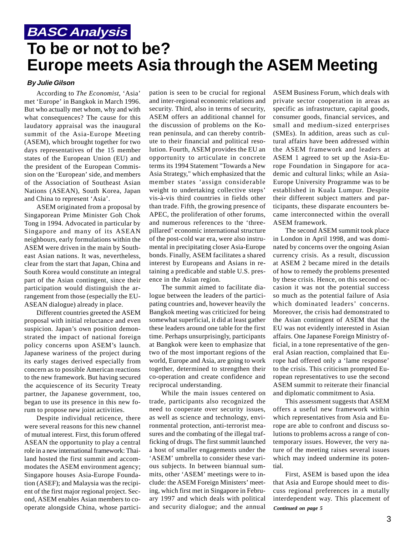### **BASC Analysis To be or not to be? Europe meets Asia through the ASEM Meeting**

#### **By Julie Gilson**

According to *The Economist*, 'Asia' met 'Europe' in Bangkok in March 1996. But who actually met whom, why and with what consequences? The cause for this laudatory appraisal was the inaugural summit of the Asia-Europe Meeting (ASEM), which brought together for two days representatives of the 15 member states of the European Union (EU) and the president of the European Commission on the 'European' side, and members of the Association of Southeast Asian Nations (ASEAN), South Korea, Japan and China to represent 'Asia'.

ASEM originated from a proposal by Singaporean Prime Minister Goh Chok Tong in 1994. Advocated in particular by Singapore and many of its ASEAN neighbours, early formulations within the ASEM were driven in the main by Southeast Asian nations. It was, nevertheless, clear from the start that Japan, China and South Korea would constitute an integral part of the Asian contingent, since their participation would distinguish the arrangement from those (especially the EU-ASEAN dialogue) already in place.

Different countries greeted the ASEM proposal with initial reluctance and even suspicion. Japan's own position demonstrated the impact of national foreign policy concerns upon ASEM's launch. Japanese wariness of the project during its early stages derived especially from concern as to possible American reactions to the new framework. But having secured the acquiescence of its Security Treaty partner, the Japanese government, too, began to use its presence in this new forum to propose new joint activities.

Despite individual reticence, there were several reasons for this new channel of mutual interest. First, this forum offered ASEAN the opportunity to play a central role in a new international framework: Thailand hosted the first summit and accommodates the ASEM environment agency; Singapore houses Asia-Europe Foundation (ASEF); and Malaysia was the recipient of the first major regional project. Second, ASEM enables Asian members to cooperate alongside China, whose participation is seen to be crucial for regional and inter-regional economic relations and security. Third, also in terms of security, ASEM offers an additional channel for the discussion of problems on the Korean peninsula, and can thereby contribute to their financial and political resolution. Fourth, ASEM provides the EU an opportunity to articulate in concrete terms its 1994 Statement "Towards a New Asia Strategy," which emphasized that the member states 'assign considerable weight to undertaking collective steps' vis-à-vis third countries in fields other than trade. Fifth, the growing presence of APEC, the proliferation of other forums, and numerous references to the 'threepillared' economic international structure of the post-cold war era, were also instrumental in precipitating closer Asia-Europe bonds. Finally, ASEM facilitates a shared interest by Europeans and Asians in retaining a predicable and stable U.S. presence in the Asian region.

The summit aimed to facilitate dialogue between the leaders of the participating countries and, however heavily the Bangkok meeting was criticized for being somewhat superficial, it did at least gather these leaders around one table for the first time. Perhaps unsurprisingly, participants at Bangkok were keen to emphasize that two of the most important regions of the world, Europe and Asia, are going to work together, determined to strengthen their co-operation and create confidence and reciprocal understanding.

While the main issues centered on trade, participants also recognized the need to cooperate over security issues, as well as science and technology, environmental protection, anti-terrorist measures and the combating of the illegal trafficking of drugs. The first summit launched a host of smaller engagements under the 'ASEM' umbrella to consider these various subjects. In between biannual summits, other 'ASEM' meetings were to include: the ASEM Foreign Ministers' meeting, which first met in Singapore in February 1997 and which deals with political and security dialogue; and the annual ASEM Business Forum, which deals with private sector cooperation in areas as specific as infrastructure, capital goods, consumer goods, financial services, and small and medium-sized enterprises (SMEs). In addition, areas such as cultural affairs have been addressed within the ASEM framework and leaders at ASEM 1 agreed to set up the Asia-Europe Foundation in Singapore for academic and cultural links; while an Asia-Europe University Programme was to be established in Kuala Lumpur. Despite their different subject matters and participants, these disparate encounters became interconnected within the overall ASEM framework.

The second ASEM summit took place in London in April 1998, and was dominated by concerns over the ongoing Asian currency crisis. As a result, discussion at ASEM 2 became mired in the details of how to remedy the problems presented by these crisis. Hence, on this second occasion it was not the potential success so much as the potential failure of Asia which dominated leaders' concerns. Moreover, the crisis had demonstrated to the Asian contingent of ASEM that the EU was not evidently interested in Asian affairs. One Japanese Foreign Ministry official, in a tone representative of the general Asian reaction, complained that Europe had offered only a 'lame response' to the crisis. This criticism prompted European representatives to use the second ASEM summit to reiterate their financial and diplomatic commitment to Asia.

This assessment suggests that ASEM offers a useful new framework within which representatives from Asia and Europe are able to confront and discuss solutions to problems across a range of contemporary issues. However, the very nature of the meeting raises several issues which may indeed undermine its potential.

*Continued on page 5* First, ASEM is based upon the idea that Asia and Europe should meet to discuss regional preferences in a mutally interdependent way. This placement of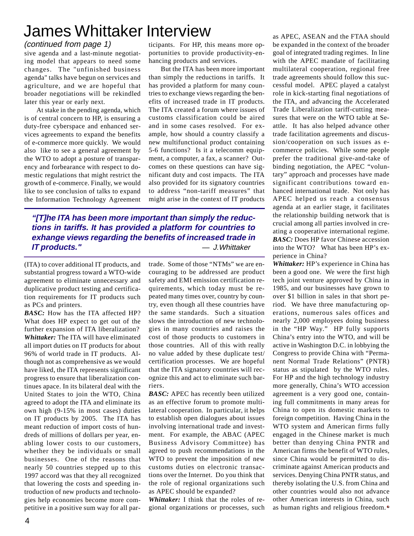### James Whittaker Interview

#### (continued from page 1)

sive agenda and a last-minute negotiating model that appears to need some changes. The "unfinished business agenda" talks have begun on services and agriculture, and we are hopeful that broader negotiations will be rekindled later this year or early next.

At stake in the pending agenda, which is of central concern to HP, is ensuring a duty-free cyberspace and enhanced services agreements to expand the benefits of e-commerce more quickly. We would also like to see a general agreement by the WTO to adopt a posture of transparency and forbearance with respect to domestic regulations that might restrict the growth of e-commerce. Finally, we would like to see conclusion of talks to expand the Information Technology Agreement

ticipants. For HP, this means more opportunities to provide productivity-enhancing products and services.

But the ITA has been more important than simply the reductions in tariffs. It has provided a platform for many countries to exchange views regarding the benefits of increased trade in IT products. The ITA created a forum where issues of customs classification could be aired and in some cases resolved. For example, how should a country classify a new multifunctional product containing 5-6 functions? Is it a telecomm equipment, a computer, a fax, a scanner? Outcomes on these questions can have significant duty and cost impacts. The ITA also provided for its signatory countries to address "non-tariff measures" that might arise in the context of IT products

**"[T]he ITA has been more important than simply the reductions in tariffs. It has provided a platform for countries to exhange views regarding the benefits of increased trade in IT products."** — J.Whittaker

(ITA) to cover additional IT products, and substantial progress toward a WTO-wide agreement to eliminate unnecessary and duplicative product testing and certification requirements for IT products such as PCs and printers.

*BASC:* How has the ITA affected HP? What does HP expect to get out of the further expansion of ITA liberalization? *Whittaker:* The ITA will have eliminated all import duties on IT products for about 96% of world trade in IT products. Although not as comprehensive as we would have liked, the ITA represents significant progress to ensure that liberalization continues apace. In its bilateral deal with the United States to join the WTO, China agreed to adopt the ITA and eliminate its own high (9-15% in most cases) duties on IT products by 2005. The ITA has meant reduction of import costs of hundreds of millions of dollars per year, enabling lower costs to our customers, whether they be individuals or small businesses. One of the reasons that nearly 50 countries stepped up to this 1997 accord was that they all recognized that lowering the costs and speeding introduction of new products and technologies help economies become more competitive in a positive sum way for all partrade. Some of those "NTMs" we are encouraging to be addressed are product safety and EMI emission certification requirements, which today must be repeated many times over, country by country, even though all these countries have the same standards. Such a situation slows the introduction of new technologies in many countries and raises the cost of those products to customers in those countries. All of this with really no value added by these duplicate test/ certification processes. We are hopeful that the ITA signatory countries will recognize this and act to eliminate such barriers.

*BASC:* APEC has recently been utilized as an effective forum to promote multilateral cooperation. In particular, it helps to establish open dialogues about issues involving international trade and investment. For example, the ABAC (APEC Business Advisory Committee) has agreed to push recommendations in the WTO to prevent the imposition of new customs duties on electronic transactions over the Internet. Do you think that the role of regional organizations such as APEC should be expanded?

*Whittaker:* I think that the roles of regional organizations or processes, such

as APEC, ASEAN and the FTAA should be expanded in the context of the broader goal of integrated trading regimes. In line with the APEC mandate of facilitating multilateral cooperation, regional free trade agreements should follow this successful model. APEC played a catalyst role in kick-starting final negotiations of the ITA, and advancing the Accelerated Trade Liberalization tariff-cutting measures that were on the WTO table at Seattle. It has also helped advance other trade facilitation agreements and discussion/cooperation on such issues as ecommerce policies. While some people prefer the traditional give-and-take of binding negotiation, the APEC "voluntary" approach and processes have made significant contributions toward enhanced international trade. Not only has APEC helped us reach a consensus agenda at an earlier stage, it facilitates the relationship building network that is crucial among all parties involved in creating a cooperative international regime. *BASC:* Does HP favor Chinese accession into the WTO? What has been HP's experience in China?

*Whittaker:* HP's experience in China has been a good one. We were the first high tech joint venture approved by China in 1985, and our businesses have grown to over \$1 billion in sales in that short period. We have three manufacturing operations, numerous sales offices and nearly 2,000 employees doing business in the "HP Way." HP fully supports China's entry into the WTO, and will be active in Washington D.C. in lobbying the Congress to provide China with "Permanent Normal Trade Relations" (PNTR) status as stipulated by the WTO rules. For HP and the high technology industry more generally, China's WTO accession agreement is a very good one, containing full commitments in many areas for China to open its domestic markets to foreign competition. Having China in the WTO system and American firms fully engaged in the Chinese market is much better than denying China PNTR and American firms the benefit of WTO rules, since China would be permitted to discriminate against American products and services. Denying China PNTR status, and thereby isolating the U.S. from China and other countries would also not advance other American interests in China, such as human rights and religious freedom.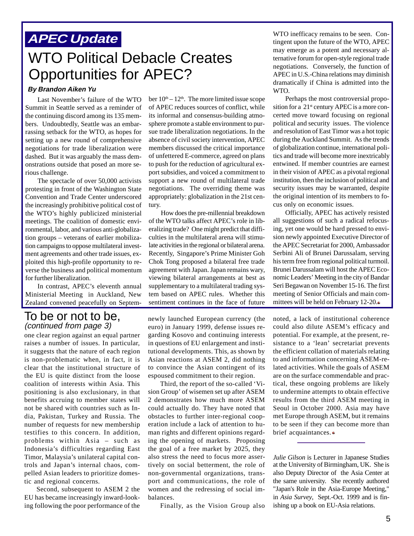### **APEC Update**

### WTO Political Debacle Creates Opportunities for APEC?

#### **By Brandon Aiken Yu**

Last November's failure of the WTO Summit in Seattle served as a reminder of the continuing discord among its 135 members. Undoubtedly, Seattle was an embarrassing setback for the WTO, as hopes for setting up a new round of comprehensive negotiations for trade liberalization were dashed. But it was arguably the mass demonstrations outside that posed an more serious challenge.

The spectacle of over 50,000 activists protesting in front of the Washington State Convention and Trade Center underscored the increasingly prohibitive political cost of the WTO's highly publicized ministerial meetings. The coalition of domestic environmental, labor, and various anti-globalization groups – veterans of earlier mobilization campaigns to oppose multilateral investment agreements and other trade issues, exploited this high-profile opportunity to reverse the business and political momentum for further liberalization.

In contrast, APEC's eleventh annual Ministerial Meeting in Auckland, New Zealand convened peacefully on Septem-

#### To be or not to be, (continued from page 3)

one clear region against an equal partner raises a number of issues. In particular, it suggests that the nature of each region is non-problematic when, in fact, it is clear that the institutional structure of the EU is quite distinct from the loose coalition of interests within Asia. This positioning is also exclusionary, in that benefits accruing to member states will not be shared with countries such as India, Pakistan, Turkey and Russia. The number of requests for new membership testifies to this concern. In addition, problems within Asia – such as Indonesia's difficulties regarding East Timor, Malaysia's unilateral capital controls and Japan's internal chaos, compelled Asian leaders to prioritize domestic and regional concerns.

Second, subsequent to ASEM 2 the EU has became increasingly inward-looking following the poor performance of the

ber  $10<sup>th</sup> - 12<sup>th</sup>$ . The more limited issue scope of APEC reduces sources of conflict, while its informal and consensus-building atmosphere promote a stable environment to pursue trade liberalization negotiations. In the absence of civil society intervention, APEC members discussed the critical importance of unfettered E-commerce, agreed on plans to push for the reduction of agricultural export subsidies, and voiced a commitment to support a new round of multilateral trade negotiations. The overriding theme was appropriately: globalization in the 21st century.

How does the pre-millennial breakdown of the WTO talks affect APEC's role in liberalizing trade? One might predict that difficulties in the multilateral arena will stimulate activities in the regional or bilateral arena. Recently, Singapore's Prime Minister Goh Chok Tong proposed a bilateral free trade agreement with Japan. Japan remains wary, viewing bilateral arrangements at best as supplementary to a multilateral trading system based on APEC rules. Whether this sentiment continues in the face of future

newly launched European currency (the euro) in January 1999, defense issues regarding Kosovo and continuing interests in questions of EU enlargement and institutional developments. This, as shown by Asian reactions at ASEM 2, did nothing to convince the Asian contingent of its espoused commitment to their region.

Third, the report of the so-called 'Vision Group' of wisemen set up after ASEM 2 demonstrates how much more ASEM could actually do. They have noted that obstacles to further inter-regional cooperation include a lack of attention to human rights and different opinions regarding the opening of markets. Proposing the goal of a free market by 2025, they also stress the need to focus more assertively on social betterment, the role of non-governmental organizations, transport and communications, the role of women and the redressing of social imbalances.

Finally, as the Vision Group also

WTO inefficacy remains to be seen. Contingent upon the future of the WTO, APEC may emerge as a potent and necessary alternative forum for open-style regional trade negotiations. Conversely, the function of APEC in U.S.-China relations may diminish dramatically if China is admitted into the WTO.

Perhaps the most controversial proposition for a 21<sup>st</sup> century APEC is a more concerted move toward focusing on regional political and security issues. The violence and resolution of East Timor was a hot topic during the Auckland Summit. As the trends of globalization continue, international politics and trade will become more inextricably entwined. If member countries are earnest in their vision of APEC as a pivotal regional institution, then the inclusion of political and security issues may be warranted, despite the original intention of its members to focus only on economic issues.

Officially, APEC has actively resisted all suggestions of such a radical refocusing, yet one would be hard pressed to envision newly appointed Executive Director of the APEC Secretariat for 2000, Ambassador Serbini Ali of Brunei Darussalam, serving his term free from regional political turmoil. Brunei Darussalam will host the APEC Economic Leaders' Meeting in the city of Bandar Seri Begawan on November 15-16. The first meeting of Senior Officials and main committees will be held on February 12-20.

noted, a lack of institutional coherence could also dilute ASEM's efficacy and potential. For example, at the present, resistance to a 'lean' secretariat prevents the efficient collation of materials relating to and information concerning ASEM-related activities. While the goals of ASEM are on the surface commendable and practical, these ongoing problems are likely to undermine attempts to obtain effective results from the third ASEM meeting in Seoul in October 2000. Asia may have met Europe through ASEM, but it remains to be seen if they can become more than brief acquaintances.

at the University of Birmingham, UK. She is also Deputy Director of the Asia Center at the same university. She recently authored "Japan's Role in the Asia-Europe Meeting," in *Asia Survey*, Sept.-Oct. 1999 and is finishing up a book on EU-Asia relations. *Julie Gilson* is Lecturer in Japanese Studies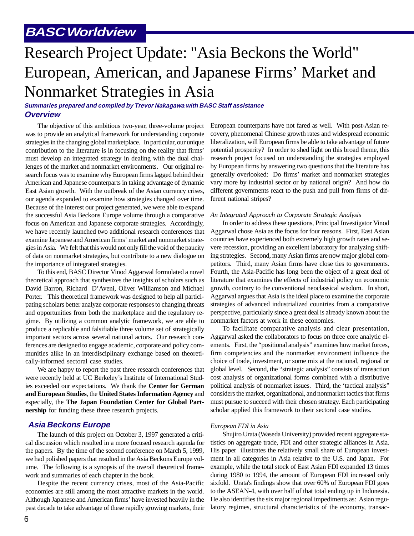### **BASC Worldview**

## Research Project Update: "Asia Beckons the World" European, American, and Japanese Firms' Market and Nonmarket Strategies in Asia

#### **Summaries prepared and compiled by Trevor Nakagawa with BASC Staff assistance Overview**

The objective of this ambitious two-year, three-volume project was to provide an analytical framework for understanding corporate strategies in the changing global marketplace. In particular, our unique contribution to the literature is in focusing on the reality that firms' must develop an integrated strategy in dealing with the dual challenges of the market and nonmarket environments. Our original research focus was to examine why European firms lagged behind their American and Japanese counterparts in taking advantage of dynamic East Asian growth. With the outbreak of the Asian currency crises, our agenda expanded to examine how strategies changed over time. Because of the interest our project generated, we were able to expand the successful Asia Beckons Europe volume through a comparative focus on American and Japanese corporate strategies. Accordingly, we have recently launched two additional research conferences that examine Japanese and American firms' market and nonmarket strategies in Asia. We felt that this would not only fill the void of the paucity of data on nonmarket strategies, but contribute to a new dialogue on the importance of integrated strategies.

To this end, BASC Director Vinod Aggarwal formulated a novel theoretical approach that synthesizes the insights of scholars such as David Barron, Richard D'Aveni, Oliver Williamson and Michael Porter. This theoretical framework was designed to help all participating scholars better analyze corporate responses to changing threats and opportunities from both the marketplace and the regulatory regime. By utilizing a common analytic framework, we are able to produce a replicable and falsifiable three volume set of strategically important sectors across several national actors. Our research conferences are designed to engage academic, corporate and policy communities alike in an interdisciplinary exchange based on theoretically-informed sectoral case studies.

We are happy to report the past three research conferences that were recently held at UC Berkeley's Institute of International Studies exceeded our expectations. We thank the **Center for German and European Studies**, the **United States Information Agency** and especially, the **The Japan Foundation Center for Global Partnership** for funding these three research projects.

#### **Asia Beckons Europe**

The launch of this project on October 3, 1997 generated a critical discussion which resulted in a more focused research agenda for the papers. By the time of the second conference on March 5, 1999, we had polished papers that resulted in the Asia Beckons Europe volume. The following is a synopsis of the overall theoretical framework and summaries of each chapter in the book.

Despite the recent currency crises, most of the Asia-Pacific economies are still among the most attractive markets in the world. Although Japanese and American firms' have invested heavily in the past decade to take advantage of these rapidly growing markets, their

European counterparts have not fared as well. With post-Asian recovery, phenomenal Chinese growth rates and widespread economic liberalization, will European firms be able to take advantage of future potential prosperity? In order to shed light on this broad theme, this research project focused on understanding the strategies employed by European firms by answering two questions that the literature has generally overlooked: Do firms' market and nonmarket strategies vary more by industrial sector or by national origin? And how do different governments react to the push and pull from firms of different national stripes?

#### *An Integrated Approach to Corporate Strategic Analysis*

In order to address these questions, Principal Investigator Vinod Aggarwal chose Asia as the focus for four reasons. First, East Asian countries have experienced both extremely high growth rates and severe recession, providing an excellent laboratory for analyzing shifting strategies. Second, many Asian firms are now major global competitors. Third, many Asian firms have close ties to governments. Fourth, the Asia-Pacific has long been the object of a great deal of literature that examines the effects of industrial policy on economic growth, contrary to the conventional neoclassical wisdom. In short, Aggarwal argues that Asia is the ideal place to examine the corporate strategies of advanced industrialized countries from a comparative perspective, particularly since a great deal is already known about the nonmarket factors at work in these economies.

To facilitate comparative analysis and clear presentation, Aggarwal asked the collaborators to focus on three core analytic elements. First, the "positional analysis" examines how market forces, firm competencies and the nonmarket environment influence the choice of trade, investment, or some mix at the national, regional or global level. Second, the "strategic analysis" consists of transaction cost analysis of organizational forms combined with a distributive political analysis of nonmarket issues. Third, the 'tactical analysis" considers the market, organizational, and nonmarket tactics that firms must pursue to succeed with their chosen strategy. Each participating scholar applied this framework to their sectoral case studies.

#### *European FDI in Asia*

Shujiro Urata (Waseda University) provided recent aggregate statistics on aggregate trade, FDI and other strategic alliances in Asia. His paper illustrates the relatively small share of European investment in all categories in Asia relative to the U.S. and Japan. For example, while the total stock of East Asian FDI expanded 13 times during 1980 to 1994, the amount of European FDI increased only sixfold. Urata's findings show that over 60% of European FDI goes to the ASEAN-4, with over half of that total ending up in Indonesia. He also identifies the six major regional impediments as: Asian regulatory regimes, structural characteristics of the economy, transac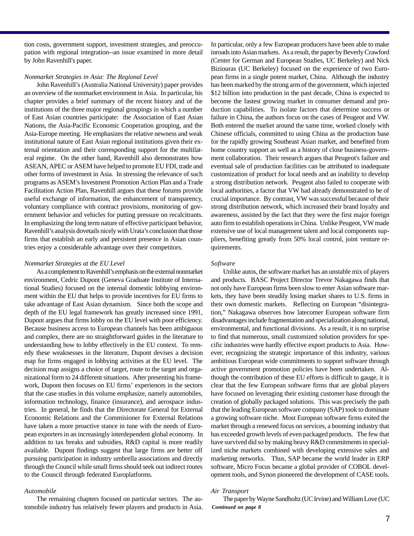tion costs, government support, investment strategies, and preoccupation with regional integration--an issue examined in more detail by John Ravenhill's paper.

#### *Nonmarket Strategies in Asia: The Regional Level*

John Ravenhill's (Australia National University) paper provides an overview of the nonmarket environment in Asia. In particular, his chapter provides a brief summary of the recent history and of the institutions of the three major regional groupings in which a number of East Asian countries participate: the Association of East Asian Nations, the Asia-Pacific Economic Cooperation grouping, and the Asia-Europe meeting. He emphasizes the relative newness and weak institutional nature of East Asian regional institutions given their external orientation and their corresponding support for the multilateral regime. On the other hand, Ravenhill also demonstrates how ASEAN, APEC or ASEM have helped to promote EU FDI, trade and other forms of investment in Asia. In stressing the relevance of such programs as ASEM's Investment Promotion Action Plan and a Trade Facilitation Action Plan, Ravenhill argues that these forums provide useful exchange of information, the enhancement of transparency, voluntary compliance with contract provisions, monitoring of government behavior and vehicles for putting pressure on recalcitrants. In emphasizing the long term nature of effective participant behavior, Ravenhill's analysis dovetails nicely with Urata's conclusion that those firms that establish an early and persistent presence in Asian countries enjoy a considerable advantage over their competitors.

#### *Nonmarket Strategies at the EU Level*

As a complement to Ravenhill's emphasis on the external nonmarket environment, Cedric Dupont (Geneva Graduate Institute of International Studies) focused on the internal domestic lobbying environment within the EU that helps to provide incentives for EU firms to take advantage of East Asian dynamism. Since both the scope and depth of the EU legal framework has greatly increased since 1991, Dupont argues that firms lobby on the EU level with poor efficiency. Because business access to European channels has been ambiguous and complex, there are no straightforward guides in the literature to understanding how to lobby effectively in the EU context. To remedy these weaknesses in the literature, Dupont devises a decision map for firms engaged in lobbying activities at the EU level. The decision map assigns a choice of target, route to the target and organizational form to 24 different situations. After presenting his framework, Dupont then focuses on EU firms' experiences in the sectors that the case studies in this volume emphasize, namely automobiles, information technology, finance (insurance), and aerospace industries. In general, he finds that the Directorate General for External Economic Relations and the Commisioner for External Relations have taken a more proactive stance in tune with the needs of European exporters in an increasingly interdependent global economy. In addition to tax breaks and subsidies, R&D capital is more readily available. Dupont findings suggest that large firms are better off pursuing participation in industry umbrella associations and directly through the Council while small firms should seek out indirect routes to the Council through federated Europlatforms.

#### *Automobile*

The remaining chapters focused on particular sectors. The automobile industry has relatively fewer players and products in Asia.

In particular, only a few European producers have been able to make inroads into Asian markets. As a result, the paper by Beverly Crawford (Center for German and European Studies, UC Berkeley) and Nick Biziouras (UC Berkeley) focused on the experience of two European firms in a single potent market, China. Although the industry has been marked by the strong arm of the government, which injected \$12 billion into production in the past decade, China is expected to become the fastest growing market in consumer demand and production capabilities. To isolate factors that determine success or failure in China, the authors focus on the cases of Peugeot and VW. Both entered the market around the same time, worked closely with Chinese officials, committed to using China as the production base for the rapidly growing Southeast Asian market, and benefited from home country support as well as a history of close business-government collaboration. Their research argues that Peugeot's failure and eventual sale of production facilities can be attributed to inadequate customization of product for local needs and an inability to develop a strong distribution network. Peugeot also failed to cooperate with local authorities, a factor that VW had already demonstrated to be of crucial importance. By contrast, VW was successful because of their strong distribution network, which increased their brand loyalty and awareness, assisted by the fact that they were the first major foreign auto firm to establish operations in China. Unlike Peugeot, VW made extensive use of local management talent and local components suppliers, benefiting greatly from 50% local control, joint venture requirements.

#### *Software*

Unlike autos, the software market has an unstable mix of players and products. BASC Project Director Trevor Nakagawa finds that not only have European firms been slow to enter Asian software markets, they have been steadily losing market shares to U.S. firms in their own domestic markets. Reflecting on European "disintegration," Nakagawa observes how latecomer European software firm disadvantages include fragmentation and specialization along national, environmental, and functional divisions. As a result, it is no surprise to find that numerous, small customized solution providers for specific industries were hardly effective export products to Asia. However, recognizing the strategic importance of this industry, various ambitious European wide commitments to support software through active government promotion policies have been undertaken. Although the contribution of these EU efforts is difficult to gauge, it is clear that the few European software firms that are global players have focused on leveraging their existing customer base through the creation of globally packaged solutions. This was precisely the path that the leading European software company (SAP) took to dominate a growing software niche. Most European software firms exited the market through a renewed focus on services, a booming industry that has exceeded growth levels of even packaged products. The few that have survived did so by making heavy R&D commitments in specialized niche markets combined with developing extensive sales and marketing networks. Thus, SAP became the world leader in ERP software, Micro Focus became a global provider of COBOL development tools, and Synon pioneered the development of CASE tools.

#### *Air Transport*

*Continued on page 8* The paper by Wayne Sandholtz (UC Irvine) and William Love (UC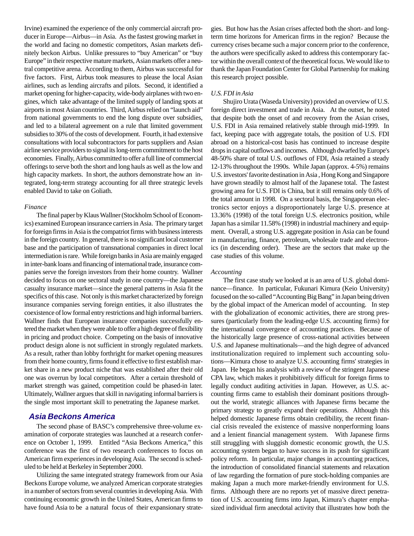Irvine) examined the experience of the only commercial aircraft producer in Europe—Airbus—in Asia. As the fastest growing market in the world and facing no domestic competitors, Asian markets definitely beckon Airbus. Unlike pressures to "buy American" or "buy Europe" in their respective mature markets, Asian markets offer a neutral competitive arena. According to them, Airbus was successful for five factors. First, Airbus took measures to please the local Asian airlines, such as lending aircrafts and pilots. Second, it identified a market opening for higher-capacity, wide-body airplanes with two engines, which take advantage of the limited supply of landing spots at airports in most Asian countries. Third, Airbus relied on "launch aid" from national governments to end the long dispute over subsidies, and led to a bilateral agreement on a rule that limited government subsidies to 30% of the costs of development. Fourth, it had extensive consultations with local subcontractors for parts suppliers and Asian airline service providers to signal its long-term commitment to the host economies. Finally, Airbus committed to offer a full line of commercial offerings to serve both the short and long hauls as well as the low and high capacity markets. In short, the authors demonstrate how an integrated, long-term strategy accounting for all three strategic levels enabled David to take on Goliath.

#### *Finance*

The final paper by Klaus Wallner (Stockholm School of Economics) examined European insurance carriers in Asia. The primary target for foreign firms in Asia is the compatriot firms with business interests in the foreign country. In general, there is no significant local customer base and the participation of transnational companies in direct local intermediation is rare. While foreign banks in Asia are mainly engaged in inter-bank loans and financing of international trade, insurance companies serve the foreign investors from their home country. Wallner decided to focus on one sectoral study in one country—the Japanese casualty insurance market—since the general patterns in Asia fit the specifics of this case. Not only is this market characterized by foreign insurance companies serving foreign entities, it also illustrates the coexistence of low formal entry restrictions and high informal barriers. Wallner finds that European insurance companies successfully entered the market when they were able to offer a high degree of flexibility in pricing and product choice. Competing on the basis of innovative product design alone is not sufficient in strongly regulated markets. As a result, rather than lobby forthright for market opening measures from their home country, firms found it effective to first establish market share in a new product niche that was established after their old one was overrun by local competitors. After a certain threshold of market strength was gained, competition could be phased-in later. Ultimately, Wallner argues that skill in navigating informal barriers is the single most important skill to penetrating the Japanese market.

#### **Asia Beckons America**

The second phase of BASC's comprehensive three-volume examination of corporate strategies was launched at a research conference on October 1, 1999. Entitled "Asia Beckons America," this conference was the first of two research conferences to focus on American firm experiences in developing Asia. The second is scheduled to be held at Berkeley in September 2000.

Utilizing the same integrated strategy framework from our Asia Beckons Europe volume, we analyzed American corporate strategies in a number of sectors from several countries in developing Asia. With continuing economic growth in the United States, American firms to have found Asia to be a natural focus of their expansionary strategies. But how has the Asian crises affected both the short- and longterm time horizons for American firms in the region? Because the currency crises became such a major concern prior to the conference, the authors were specifically asked to address this contemporary factor within the overall context of the theoretical focus. We would like to thank the Japan Foundation Center for Global Partnership for making this research project possible.

#### *U.S. FDI in Asia*

Shujiro Urata (Waseda University) provided an overview of U.S. foreign direct investment and trade in Asia. At the outset, he noted that despite both the onset of and recovery from the Asian crises, U.S. FDI in Asia remained relatively stable through mid-1999. In fact, keeping pace with aggregate totals, the position of U.S. FDI abroad on a historical-cost basis has continued to increase despite drops in capital outflows and incomes. Although dwarfed by Europe's 48-50% share of total U.S. outflows of FDI, Asia retained a steady 12-13% throughout the 1990s. While Japan (approx. 4-5%) remains U.S. investors' favorite destination in Asia , Hong Kong and Singapore have grown steadily to almost half of the Japanese total. The fastest growing area for U.S. FDI is China, but it still remains only 0.6% of the total amount in 1998. On a sectoral basis, the Singaporean electronics sector enjoys a disproportionately large U.S. presence at 13.36% (1998) of the total foreign U.S. electronics position, while Japan has a similar 11.58% (1998) in industrial machinery and equipment. Overall, a strong U.S. aggregate position in Asia can be found in manufacturing, finance, petroleum, wholesale trade and electronics (in descending order). These are the sectors that make up the case studies of this volume.

#### *Accounting*

The first case study we looked at is an area of U.S. global dominance—finance. In particular, Fukunari Kimura (Keio University) focused on the so-called "Accounting Big Bang" in Japan being driven by the global impact of the American model of accounting. In step with the globalization of economic activities, there are strong pressures (particularly from the leading-edge U.S. accounting firms) for the international convergence of accounting practices. Because of the historically large presence of cross-national activities between U.S. and Japanese multinationals—and the high degree of advanced institutionalization required to implement such accounting solutions—Kimura chose to analyze U.S. accounting firms' strategies in Japan. He began his analysis with a review of the stringent Japanese CPA law, which makes it prohibitively difficult for foreign firms to legally conduct auditing activities in Japan. However, as U.S. accounting firms came to establish their dominant positions throughout the world, strategic alliances with Japanese firms became the primary strategy to greatly expand their operations. Although this helped domestic Japanese firms obtain credibility, the recent financial crisis revealed the existence of massive nonperforming loans and a lenient financial management system. With Japanese firms still struggling with sluggish domestic economic growth, the U.S. accounting system began to have success in its push for significant policy reform. In particular, major changes in accounting practices, the introduction of consolidated financial statements and relaxation of law regarding the formation of pure stock-holding companies are making Japan a much more market-friendly environment for U.S. firms. Although there are no reports yet of massive direct penetration of U.S. accounting firms into Japan, Kimura's chapter emphasized individual firm anecdotal activity that illustrates how both the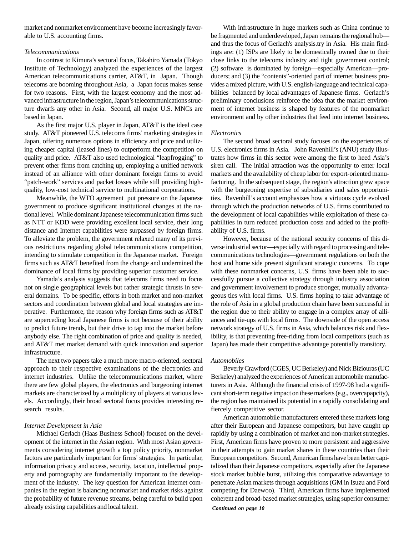market and nonmarket environment have become increasingly favorable to U.S. accounting firms.

#### *Telecommunications*

In contrast to Kimura's sectoral focus, Takahiro Yamada (Tokyo Institute of Technology) analyzed the experiences of the largest American telecommunications carrier, AT&T, in Japan. Though telecoms are booming throughout Asia, a Japan focus makes sense for two reasons. First, with the largest economy and the most advanced infrastructure in the region, Japan's telecommunications structure dwarfs any other in Asia. Second, all major U.S. MNCs are based in Japan.

As the first major U.S. player in Japan, AT&T is the ideal case study. AT&T pioneered U.S. telecoms firms' marketing strategies in Japan, offering numerous options in efficiency and price and utilizing cheaper capital (leased lines) to outperform the competition on quality and price. AT&T also used technological "leapfrogging" to prevent other firms from catching up, employing a unified network instead of an alliance with other dominant foreign firms to avoid "patch-work" services and packet losses while still providing highquality, low-cost technical service to multinational corporations.

Meanwhile, the WTO agreement put pressure on the Japanese government to produce significant institutional changes at the national level. While dominant Japanese telecommunication firms such as NTT or KDD were providing excellent local service, their long distance and Internet capabilities were surpassed by foreign firms. To alleviate the problem, the government relaxed many of its previous restrictions regarding global telecommunications competition, intending to stimulate competition in the Japanese market. Foreign firms such as AT&T benefited from the change and undermined the dominance of local firms by providing superior customer service.

Yamada's analysis suggests that telecoms firms need to focus not on single geographical levels but rather strategic thrusts in several domains. To be specific, efforts in both market and non-market sectors and coordination between global and local strategies are imperative. Furthermore, the reason why foreign firms such as AT&T are superceding local Japanese firms is not because of their ability to predict future trends, but their drive to tap into the market before anybody else. The right combination of price and quality is needed, and AT&T met market demand with quick innovation and superior infrastructure.

The next two papers take a much more macro-oriented, sectoral approach to their respective examinations of the electronics and internet industries. Unlike the telecommunications market, where there are few global players, the electronics and burgeoning internet markets are characterized by a multiplicity of players at various levels. Accordingly, their broad sectoral focus provides interesting research results.

#### *Internet Development in Asia*

Michael Gerlach (Haas Business School) focused on the development of the internet in the Asian region. With most Asian governments considering internet growth a top policy priority, nonmarket factors are particularly important for firms' strategies. In particular, information privacy and access, security, taxation, intellectual property and pornography are fundamentally important to the development of the industry. The key question for American internet companies in the region is balancing nonmarket and market risks against the probability of future revenue streams, being careful to build upon already existing capabilities and local talent.

With infrastructure in huge markets such as China continue to be fragmented and underdeveloped, Japan remains the regional hub and thus the focus of Gerlach's analysis.try in Asia. His main findings are: (1) ISPs are likely to be domestically owned due to their close links to the telecoms industry and tight government control; (2) software is dominated by foreign—especially American—producers; and (3) the "contents"-oriented part of internet business provides a mixed picture, with U.S. english-language and technical capabilities balanced by local advantages of Japanese firms. Gerlach's preliminary conclusions reinforce the idea that the market environment of internet business is shaped by features of the nonmarket environment and by other industries that feed into internet business.

#### *Electronics*

The second broad sectoral study focuses on the experiences of U.S. electronics firms in Asia. John Ravenhill's (ANU) study illustrates how firms in this sector were among the first to heed Asia's siren call. The initial attraction was the opportunity to enter local markets and the availability of cheap labor for export-oriented manufacturing. In the subsequent stage, the region's attraction grew apace with the burgeoning expertise of subsidiaries and sales opportunities. Ravenhill's account emphasizes how a virtuous cycle evolved through which the production networks of U.S. firms contributed to the development of local capabilities while exploitation of these capabilities in turn reduced production costs and added to the profitability of U.S. firms.

However, because of the national security concerns of this diverse industrial sector—especially with regard to processing and telecommunications technologies—government regulations on both the host and home side present significant strategic concerns. To cope with these nonmarket concerns, U.S. firms have been able to successfully pursue a collective strategy through industry association and government involvement to produce stronger, mutually advantageous ties with local firms. U.S. firms hoping to take advantage of the role of Asia in a global production chain have been successful in the region due to their ability to engage in a complex array of alliances and tie-ups with local firms. The downside of the open access network strategy of U.S. firms in Asia, which balances risk and flexibility, is that preventing free-riding from local competitors (such as Japan) has made their competitive advantage potentially transitory.

#### *Automobiles*

Beverly Crawford (CGES, UC Berkeley) and Nick Biziouras (UC Berkeley) analyzed the experiences of American automobile manufacturers in Asia. Although the financial crisis of 1997-98 had a significant short-term negative impact on these markets (e.g., overcapapcity), the region has maintained its potential in a rapidly consolidating and fiercely competitive sector.

American automobile manufacturers entered these markets long after their European and Japanese competitors, but have caught up rapidly by using a combination of market and non-market strategies. First, American firms have proven to more persistent and aggressive in their attempts to gain market shares in these countries than their European competitors. Second, American firms have been better capitalized than their Japanese competitors, especially after the Japanese stock market bubble burst, utilizing this comparative adavantage to penetrate Asian markets through acquisitions (GM in Isuzu and Ford competing for Daewoo). Third, American firms have implemented coherent and broad-based market strategies, using superior consumer

*Continued on page 10*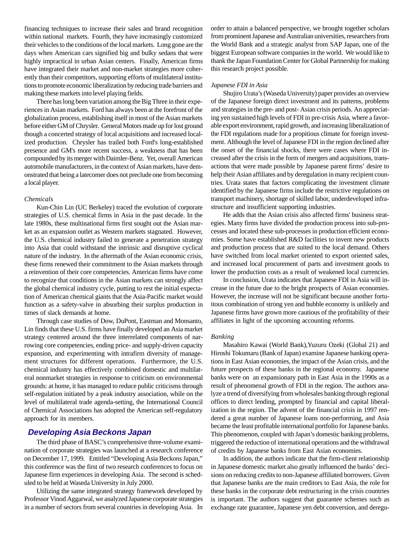financing techniques to increase their sales and brand recognition within national markets. Fourth, they have increasingly customized their vehicles to the conditions of the local markets. Long gone are the days when American cars signified big and bulky sedans that were highly impractical in urban Asian centers. Finally, American firms have integrated their market and non-market strategies more coherently than their competitors, supporting efforts of mulitlateral institutions to promote economic liberalization by reducing trade barriers and making these markets into level playing fields.

There has long been variation among the Big Three in their experiences in Asian markets. Ford has always been at the forefront of the globalization process, establishing itself in most of the Asian markets before either GM of Chrysler. General Motors made up for lost ground though a concerted strategy of local acquisitions and increased localized production. Chrysler has trailed both Ford's long-established presence and GM's more recent success, a weakness that has been compounded by its merger with Daimler-Benz. Yet, overall American automobile manufacturers, in the context of Asian markets, have demonstrated that being a latecomer does not preclude one from becoming a local player.

#### *Chemicals*

Kun-Chin Lin (UC Berkeley) traced the evolution of corporate strategies of U.S. chemical firms in Asia in the past decade. In the late 1980s, these multinational firms first sought out the Asian market as an expansion outlet as Western markets stagnated. However, the U.S. chemical industry failed to generate a penetration strategy into Asia that could withstand the intrinsic and disruptive cyclical nature of the industry. In the aftermath of the Asian economic crisis, these firms renewed their commitment to the Asian markets through a reinvention of their core competencies. American firms have come to recognize that conditions in the Asian markets can strongly affect the global chemical industry cycle, putting to rest the initial expectation of American chemical giants that the Asia-Pacific market would function as a safety-valve in absorbing their surplus production in times of slack demands at home.

Through case studies of Dow, DuPont, Eastman and Monsanto, Lin finds that these U.S. firms have finally developed an Asia market strategy centered around the three interrelated components of narrowing core competencies, ending price- and supply-driven capacity expansion, and experimenting with intrafirm diversity of management structures for different operations. Furthermore, the U.S. chemical industry has effectively combined domestic and multilateral nonmarket strategies in response to criticism on environmental grounds: at home, it has managed to reduce public criticisms through self-regulation initiated by a peak industry association, while on the level of multilateral trade agenda-setting, the International Council of Chemical Associations has adopted the American self-regulatory approach for its members.

#### **Developing Asia Beckons Japan**

The third phase of BASC's comprehensive three-volume examination of corporate strategies was launched at a research conference on December 17, 1999. Entitled "Developing Asia Beckons Japan," this conference was the first of two research conferences to focus on Japanese firm experiences in developing Asia. The second is scheduled to be held at Waseda University in July 2000.

Utilizing the same integrated strategy framework developed by Professor Vinod Aggarwal, we analyzed Japanese corporate strategies in a number of sectors from several countries in developing Asia. In order to attain a balanced perspective, we brought together scholars from prominent Japanese and Australian universities, researchers from the World Bank and a strategic analyst from SAP Japan, one of the biggest European software companies in the world. We would like to thank the Japan Foundation Center for Global Partnership for making this research project possible.

#### *Japanese FDI in Asia*

Shujiro Urata's (Waseda University) paper provides an overview of the Japanese foreign direct investment and its patterns, problems and strategies in the pre- and post- Asian crisis periods. An appreciating yen sustained high levels of FDI in pre-crisis Asia, where a favorable export environment, rapid growth, and increasing liberalization of the FDI regulations made for a propitious climate for foreign investment. Although the level of Japanese FDI in the region declined after the onset of the financial shocks, there were cases where FDI increased after the crisis in the form of mergers and acquisitions, transactions that were made possible by Japanese parent firms' desire to help their Asian affiliates and by deregulation in many recipient countries. Urata states that factors complicating the investment climate identified by the Japanese firms include the restrictive regulations on transport machinery, shortage of skilled labor, underdeveloped infrastructure and insufficient supporting industries.

He adds that the Asian crisis also affected firms' business strategies. Many firms have divided the production process into sub-processes and located these sub-processes in production efficient economies. Some have established R&D facilities to invent new products and production process that are suited to the local demand. Others have switched from local market oriented to export oriented sales, and increased local procurement of parts and investment goods to lower the production costs as a result of weakened local currencies.

In conclusion, Urata indicates that Japanese FDI in Asia will increase in the future due to the bright prospects of Asian economies. However, the increase will not be significant because another fortuitous combination of strong yen and bubble economy is unlikely and Japanese firms have grown more cautious of the profitability of their affiliates in light of the upcoming accounting reforms.

#### *Banking*

Masahiro Kawai (World Bank),Yuzuru Ozeki (Global 21) and Hiroshi Tokumaru (Bank of Japan) examine Japanese banking operations in East Asian economies, the impact of the Asian crisis, and the future prospects of these banks in the regional economy. Japanese banks were on an expansionary path in East Asia in the 1990s as a result of phenomenal growth of FDI in the region. The authors analyze a trend of diversifying from wholesales banking through regional offices to direct lending, prompted by financial and capital liberalization in the region. The advent of the financial crisis in 1997 rendered a great number of Japanese loans non-performing, and Asia became the least profitable international portfolio for Japanese banks. This phenomenon, coupled with Japan's domestic banking problems, triggered the reduction of international operations and the withdrawal of credits by Japanese banks from East Asian economies.

In addition, the authors indicate that the firm-client relationship in Japanese domestic market also greatly influenced the banks' decisions on reducing credits to non-Japanese affiliated borrowers. Given that Japanese banks are the main creditors to East Asia, the role for these banks in the corporate debt restructuring in the crisis countries is important. The authors suggest that guarantee schemes such as exchange rate guarantee, Japanese yen debt conversion, and deregu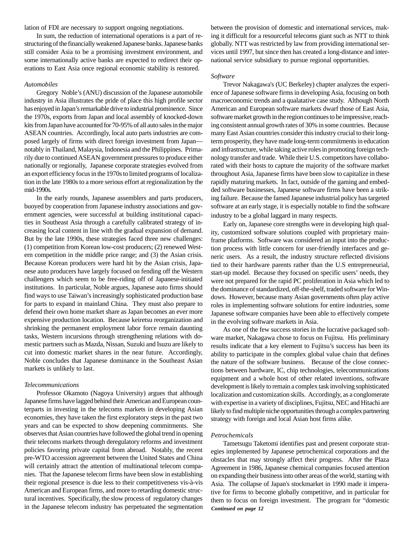lation of FDI are necessary to support ongoing negotiations.

In sum, the reduction of international operations is a part of restructuring of the financially weakened Japanese banks. Japanese banks still consider Asia to be a promising investment environment, and some internationally active banks are expected to redirect their operations to East Asia once regional economic stability is restored.

#### *Automobiles*

Gregory Noble's (ANU) discussion of the Japanese automobile industry in Asia illustrates the pride of place this high profile sector has enjoyed in Japan's remarkable drive to industrial prominence. Since the 1970s, exports from Japan and local assembly of knocked-down kits from Japan have accounted for 70-95% of all auto sales in the major ASEAN countries. Accordingly, local auto parts industries are composed largely of firms with direct foreign investment from Japan notably in Thailand, Malaysia, Indonesia and the Philippines. Primarily due to continued ASEAN government pressures to produce either nationally or regionally, Japanese corporate strategies evolved from an export efficiency focus in the 1970s to limited programs of localization in the late 1980s to a more serious effort at regionalization by the mid-1990s.

In the early rounds, Japanese assemblers and parts producers, buoyed by cooperation from Japanese industry associations and government agencies, were successful at building institutional capacities in Southeast Asia through a carefully calibrated strategy of increasing local content in line with the gradual expansion of demand. But by the late 1990s, these strategies faced three new challenges: (1) competition from Korean low-cost producers; (2) renewed Western competition in the middle price range; and (3) the Asian crisis. Because Korean producers were hard hit by the Asian crisis, Japanese auto producers have largely focused on fending off the Western challengers which seem to be free-riding off of Japanese-initiated institutions. In particular, Noble argues, Japanese auto firms should find ways to use Taiwan's increasingly sophisticated production base for parts to expand in mainland China. They must also prepare to defend their own home market share as Japan becomes an ever more expensive production location. Because keiretsu reorganization and shrinking the permanent employment labor force remain daunting tasks, Western incursions through strengthening relations with domestic partners such as Mazda, Nissan, Suzuki and Isuzu are likely to cut into domestic market shares in the near future. Accordingly, Noble concludes that Japanese dominance in the Southeast Asian markets is unlikely to last.

#### *Telecommunications*

Professor Okamoto (Nagoya University) argues that although Japanese firms have lagged behind their American and European counterparts in investing in the telecoms markets in developing Asian economies, they have taken the first exploratory steps in the past two years and can be expected to show deepening commitments. She observes that Asian countries have followed the global trend in opening their telecoms markets through deregulatory reforms and investment policies favoring private capital from abroad. Notably, the recent pre-WTO accession agreement between the United States and China will certainly attract the attention of multinational telecom companies. That the Japanese telecom firms have been slow in establishing their regional presence is due less to their competitiveness vis-à-vis American and European firms, and more to retarding domestic structural incentives. Specifically, the slow process of regulatory changes in the Japanese telecom industry has perpetuated the segmentation

between the provision of domestic and international services, making it difficult for a resourceful telecoms giant such as NTT to think globally. NTT was restricted by law from providing international services until 1997, but since then has created a long-distance and international service subsidiary to pursue regional opportunities.

#### *Software*

Trevor Nakagawa's (UC Berkeley) chapter analyzes the experience of Japanese software firms in developing Asia, focusing on both macroeconomic trends and a qualatative case study. Although North American and European software markets dwarf those of East Asia, software market growth in the region continues to be impressive, reaching consistent annual growth rates of 30% in some countries. Because many East Asian countries consider this industry crucial to their longterm prosperity, they have made long-term commitments in education and infrastructure, while taking active roles in promoting foreign technology transfer and trade. While their U.S. competitors have collaborated with their hosts to capture the majority of the software market throughout Asia, Japanese firms have been slow to capitalize in these rapidly maturing markets. In fact, outside of the gaming and embedded software businesses, Japanese software firms have been a striking failure. Because the famed Japanese industrial policy has targeted software at an early stage, it is especially notable to find the software industry to be a global laggard in many respects.

Early on, Japanese core strengths were in developing high quality, customized software solutions coupled with proprietary mainframe platforms. Software was considered an input into the production process with little concern for user-friendly interfaces and generic users. As a result, the industry structure reflected divisions tied to their hardware parents rather than the U.S entrepreneurial, start-up model. Because they focused on specific users' needs, they were not prepared for the rapid PC proliferation in Asia which led to the dominance of standardized, off-the-shelf, traded software for Windows. However, because many Asian governments often play active roles in implementing software solutions for entire industries, some Japanese software companies have been able to effectively compete in the evolving software markets in Asia.

As one of the few success stories in the lucrative packaged software market, Nakagawa chose to focus on Fujitsu. His preliminary results indicate that a key element to Fujitsu's success has been its ability to participate in the complex global value chain that defines the nature of the software business. Because of the close connections between hardware, IC, chip technologies, telecommunications equipment and a whole host of other related inventions, software development is likely to remain a complex task involving sophisticated localization and customization skills. Accordingly, as a conglomerate with expertise in a variety of disciplines, Fujitsu, NEC and Hitachi are likely to find multiple niche opportunities through a complex partnering strategy with foreign and local Asian host firms alike.

#### *Petrochemicals*

Tametsugu Taketomi identifies past and present corporate strategies implemented by Japanese petrochemical corporations and the obstacles that may strongly affect their progress. After the Plaza Agreement in 1986, Japanese chemical companies focused attention on expanding their business into other areas of the world, starting with Asia. The collapse of Japan's stockmarket in 1990 made it imperative for firms to become globally competitive, and in particular for them to focus on foreign investment. The program for "domestic *Continued on page 12*